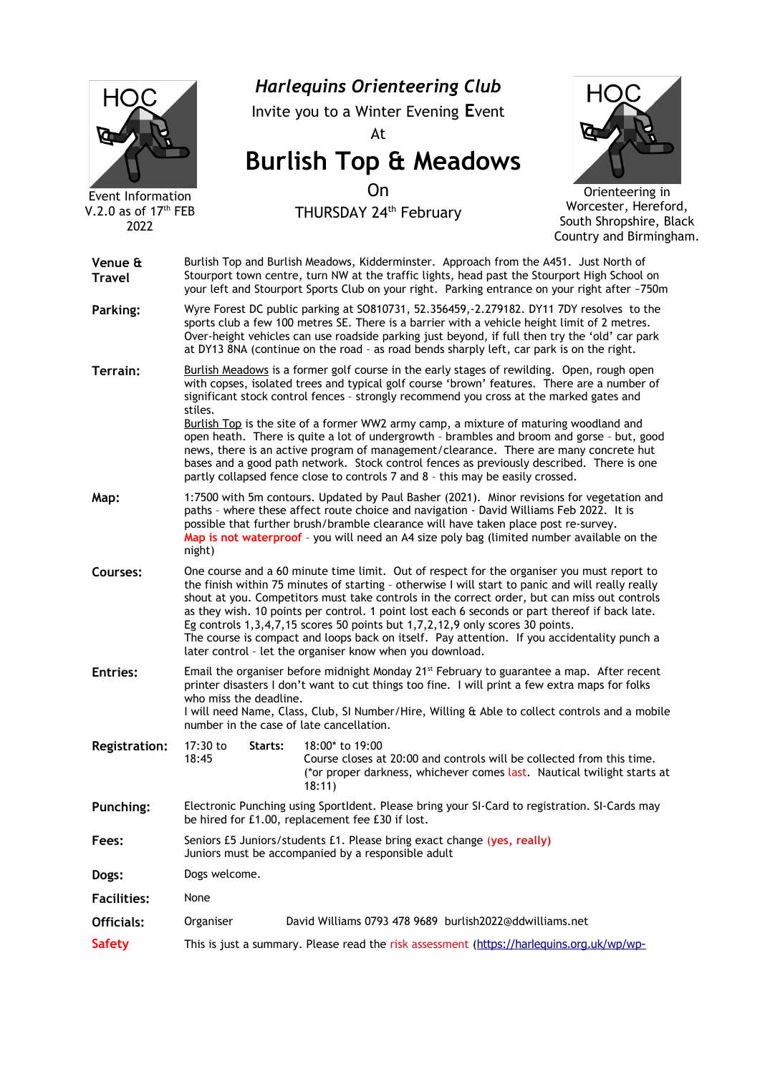